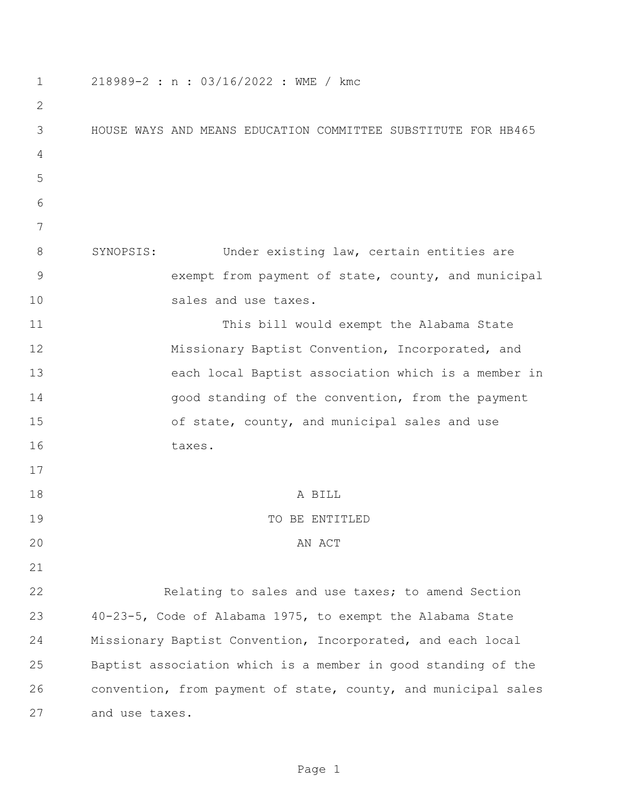| 1             | 218989-2 : n : 03/16/2022 : WME / kmc                          |
|---------------|----------------------------------------------------------------|
| 2             |                                                                |
| 3             | HOUSE WAYS AND MEANS EDUCATION COMMITTEE SUBSTITUTE FOR HB465  |
| 4             |                                                                |
| 5             |                                                                |
| 6             |                                                                |
| 7             |                                                                |
| 8             | SYNOPSIS:<br>Under existing law, certain entities are          |
| $\mathcal{G}$ | exempt from payment of state, county, and municipal            |
| 10            | sales and use taxes.                                           |
| 11            | This bill would exempt the Alabama State                       |
| 12            | Missionary Baptist Convention, Incorporated, and               |
| 13            | each local Baptist association which is a member in            |
| 14            | good standing of the convention, from the payment              |
| 15            | of state, county, and municipal sales and use                  |
| 16            | taxes.                                                         |
| 17            |                                                                |
| 18            | A BILL                                                         |
| 19            | TO BE ENTITLED                                                 |
| 20            | AN ACT                                                         |
| 21            |                                                                |
| 22            | Relating to sales and use taxes; to amend Section              |
| 23            | 40-23-5, Code of Alabama 1975, to exempt the Alabama State     |
| 24            | Missionary Baptist Convention, Incorporated, and each local    |
| 25            | Baptist association which is a member in good standing of the  |
| 26            | convention, from payment of state, county, and municipal sales |
| 27            | and use taxes.                                                 |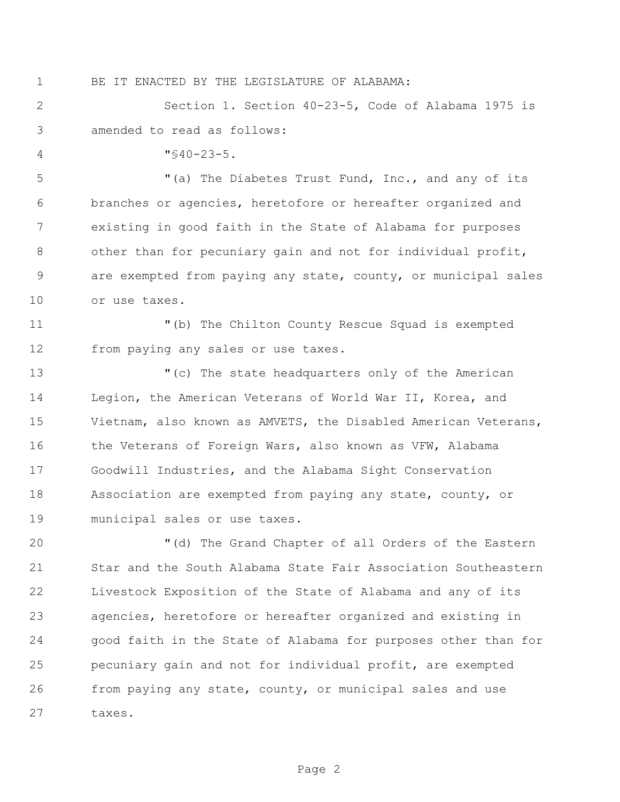## BE IT ENACTED BY THE LEGISLATURE OF ALABAMA:

 Section 1. Section 40-23-5, Code of Alabama 1975 is amended to read as follows:

 $4 \times 40 - 23 - 5$ .

 "(a) The Diabetes Trust Fund, Inc., and any of its branches or agencies, heretofore or hereafter organized and existing in good faith in the State of Alabama for purposes 8 other than for pecuniary gain and not for individual profit, are exempted from paying any state, county, or municipal sales or use taxes.

 "(b) The Chilton County Rescue Squad is exempted from paying any sales or use taxes.

 "(c) The state headquarters only of the American Legion, the American Veterans of World War II, Korea, and Vietnam, also known as AMVETS, the Disabled American Veterans, 16 the Veterans of Foreign Wars, also known as VFW, Alabama Goodwill Industries, and the Alabama Sight Conservation Association are exempted from paying any state, county, or municipal sales or use taxes.

 "(d) The Grand Chapter of all Orders of the Eastern Star and the South Alabama State Fair Association Southeastern Livestock Exposition of the State of Alabama and any of its agencies, heretofore or hereafter organized and existing in good faith in the State of Alabama for purposes other than for pecuniary gain and not for individual profit, are exempted from paying any state, county, or municipal sales and use taxes.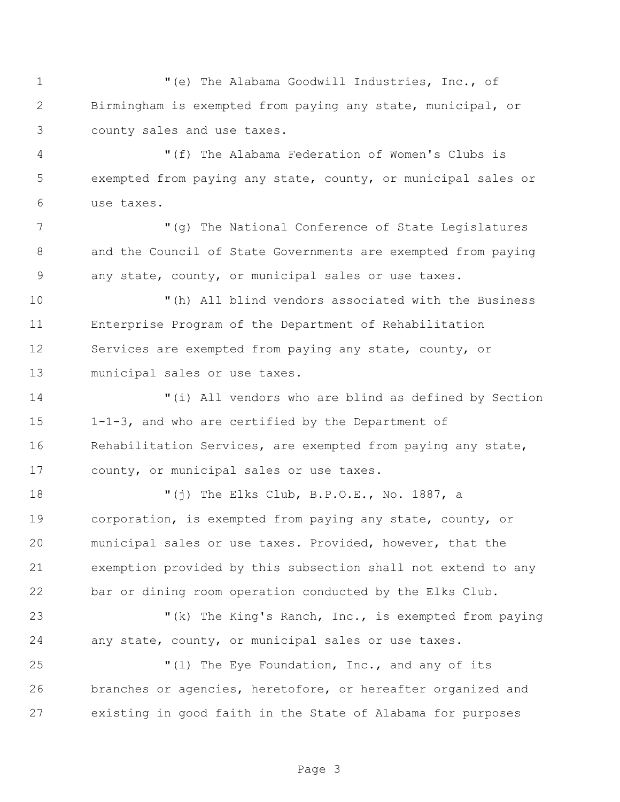"(e) The Alabama Goodwill Industries, Inc., of Birmingham is exempted from paying any state, municipal, or county sales and use taxes.

 "(f) The Alabama Federation of Women's Clubs is exempted from paying any state, county, or municipal sales or use taxes.

 "(g) The National Conference of State Legislatures and the Council of State Governments are exempted from paying any state, county, or municipal sales or use taxes.

 "(h) All blind vendors associated with the Business Enterprise Program of the Department of Rehabilitation Services are exempted from paying any state, county, or municipal sales or use taxes.

 "(i) All vendors who are blind as defined by Section 1-1-3, and who are certified by the Department of Rehabilitation Services, are exempted from paying any state, county, or municipal sales or use taxes.

 "(j) The Elks Club, B.P.O.E., No. 1887, a corporation, is exempted from paying any state, county, or municipal sales or use taxes. Provided, however, that the exemption provided by this subsection shall not extend to any bar or dining room operation conducted by the Elks Club.

 "(k) The King's Ranch, Inc., is exempted from paying any state, county, or municipal sales or use taxes.

25  $(1)$  The Eye Foundation, Inc., and any of its branches or agencies, heretofore, or hereafter organized and existing in good faith in the State of Alabama for purposes

Page 3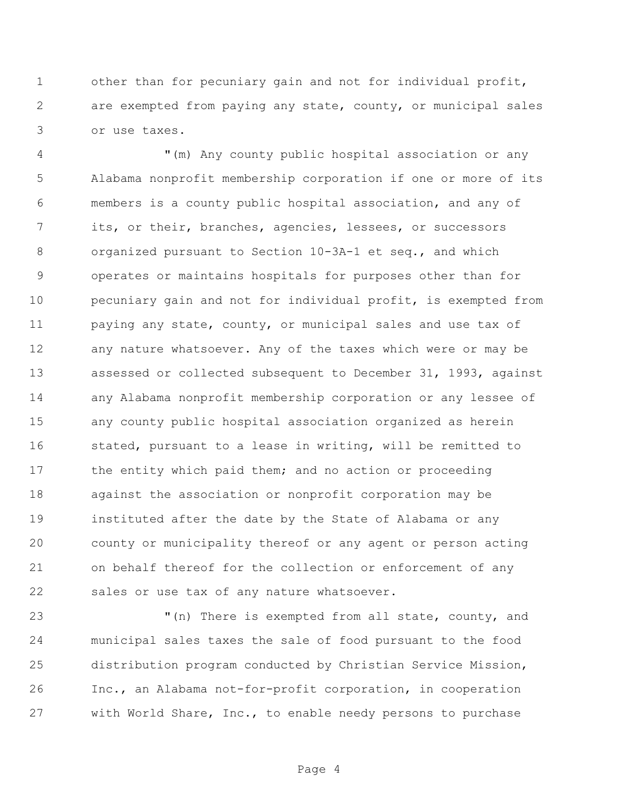other than for pecuniary gain and not for individual profit, are exempted from paying any state, county, or municipal sales or use taxes.

 "(m) Any county public hospital association or any Alabama nonprofit membership corporation if one or more of its members is a county public hospital association, and any of its, or their, branches, agencies, lessees, or successors organized pursuant to Section 10-3A-1 et seq., and which operates or maintains hospitals for purposes other than for pecuniary gain and not for individual profit, is exempted from 11 paying any state, county, or municipal sales and use tax of any nature whatsoever. Any of the taxes which were or may be assessed or collected subsequent to December 31, 1993, against any Alabama nonprofit membership corporation or any lessee of any county public hospital association organized as herein stated, pursuant to a lease in writing, will be remitted to 17 the entity which paid them; and no action or proceeding against the association or nonprofit corporation may be instituted after the date by the State of Alabama or any county or municipality thereof or any agent or person acting on behalf thereof for the collection or enforcement of any sales or use tax of any nature whatsoever.

 "(n) There is exempted from all state, county, and municipal sales taxes the sale of food pursuant to the food distribution program conducted by Christian Service Mission, Inc., an Alabama not-for-profit corporation, in cooperation with World Share, Inc., to enable needy persons to purchase

Page 4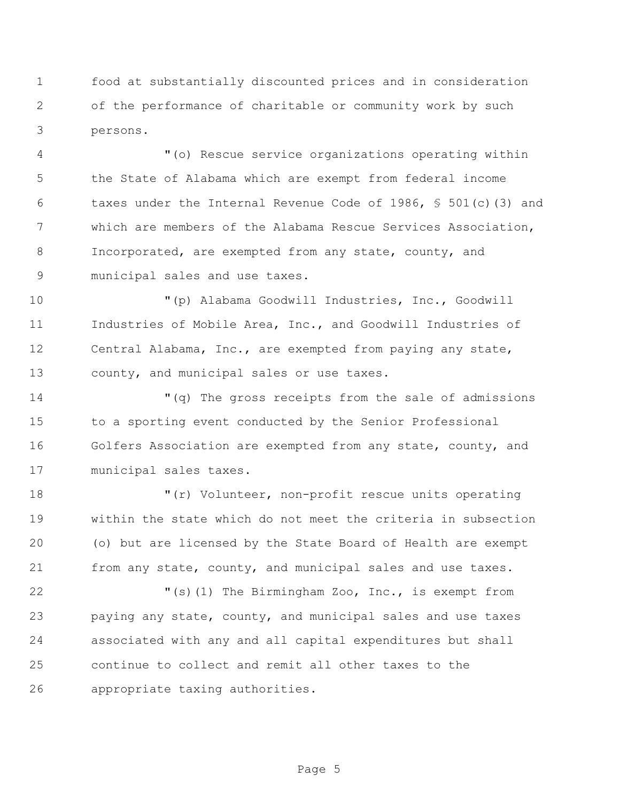food at substantially discounted prices and in consideration of the performance of charitable or community work by such persons.

 "(o) Rescue service organizations operating within the State of Alabama which are exempt from federal income taxes under the Internal Revenue Code of 1986, § 501(c)(3) and which are members of the Alabama Rescue Services Association, Incorporated, are exempted from any state, county, and municipal sales and use taxes.

 "(p) Alabama Goodwill Industries, Inc., Goodwill Industries of Mobile Area, Inc., and Goodwill Industries of Central Alabama, Inc., are exempted from paying any state, county, and municipal sales or use taxes.

 "(q) The gross receipts from the sale of admissions to a sporting event conducted by the Senior Professional Golfers Association are exempted from any state, county, and municipal sales taxes.

 "(r) Volunteer, non-profit rescue units operating within the state which do not meet the criteria in subsection (o) but are licensed by the State Board of Health are exempt 21 from any state, county, and municipal sales and use taxes.

 "(s)(1) The Birmingham Zoo, Inc., is exempt from paying any state, county, and municipal sales and use taxes associated with any and all capital expenditures but shall continue to collect and remit all other taxes to the appropriate taxing authorities.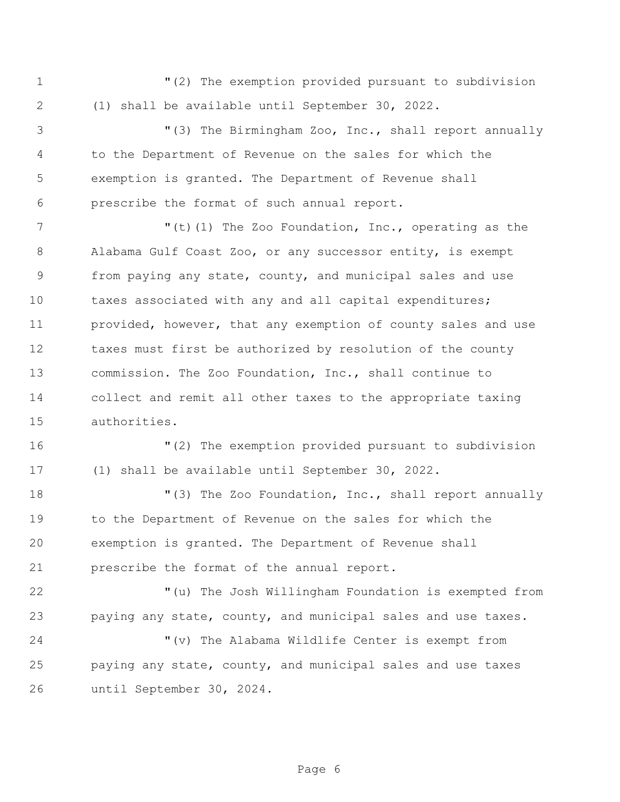"(2) The exemption provided pursuant to subdivision (1) shall be available until September 30, 2022.

 "(3) The Birmingham Zoo, Inc., shall report annually to the Department of Revenue on the sales for which the exemption is granted. The Department of Revenue shall prescribe the format of such annual report.

7 The Zoo Foundation, Inc., operating as the 7 Alabama Gulf Coast Zoo, or any successor entity, is exempt from paying any state, county, and municipal sales and use 10 taxes associated with any and all capital expenditures; 11 provided, however, that any exemption of county sales and use taxes must first be authorized by resolution of the county commission. The Zoo Foundation, Inc., shall continue to collect and remit all other taxes to the appropriate taxing authorities.

 "(2) The exemption provided pursuant to subdivision (1) shall be available until September 30, 2022.

18 The Zoo Foundation, Inc., shall report annually to the Department of Revenue on the sales for which the exemption is granted. The Department of Revenue shall prescribe the format of the annual report.

 "(u) The Josh Willingham Foundation is exempted from paying any state, county, and municipal sales and use taxes.

 "(v) The Alabama Wildlife Center is exempt from paying any state, county, and municipal sales and use taxes until September 30, 2024.